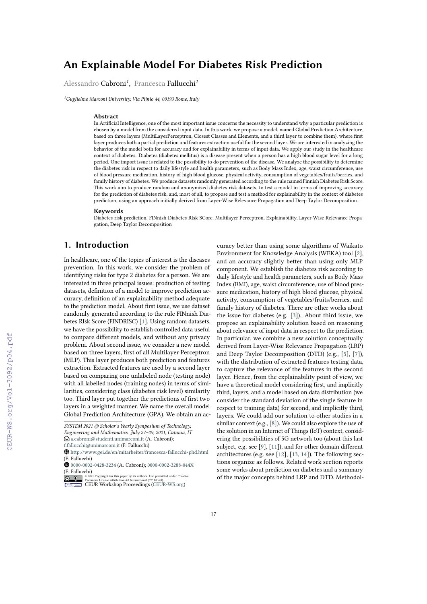# **An Explainable Model For Diabetes Risk Prediction**

Alessandro Cabroni*<sup>1</sup>* , Francesca Fallucchi*<sup>1</sup>*

*<sup>1</sup>Guglielmo Marconi University, Via Plinio 44, 00193 Rome, Italy*

#### **Abstract**

In Artificial Intelligence, one of the most important issue concerns the necessity to understand why a particular prediction is chosen by a model from the considered input data. In this work, we propose a model, named Global Prediction Architecture, based on three layers (MultiLayerPerceptron, Closest Classes and Elements, and a third layer to combine them), where first layer produces both a partial prediction and features extraction useful for the second layer. We are interested in analyzing the behavior of the model both for accuracy and for explainability in terms of input data. We apply our study in the healthcare context of diabetes. Diabetes (diabetes mellitus) is a disease present when a person has a high blood sugar level for a long period. One import issue is related to the possibility to do prevention of the disease. We analyze the possibility to determine the diabetes risk in respect to daily lifestyle and health parameters, such as Body Mass Index, age, waist circumference, use of blood pressure medication, history of high blood glucose, physical activity, consumption of vegetables/fruits/berries, and family history of diabetes. We produce datasets randomly generated according to the rule named Finnish Diabetes Risk Score. This work aim to produce random and anonymized diabetes risk datasets, to test a model in terms of improving accuracy for the prediction of diabetes risk, and, most of all, to propose and test a method for explainability in the context of diabetes prediction, using an approach initially derived from Layer-Wise Relevance Propagation and Deep Taylor Decomposition.

#### **Keywords**

Diabetes risk prediction, FINnish Diabetes RIsk SCore, Multilayer Perceptron, Explainability, Layer-Wise Relevance Propagation, Deep Taylor Decomposition

### **1. Introduction**

In healthcare, one of the topics of interest is the diseases prevention. In this work, we consider the problem of identifying risks for type 2 diabetes for a person. We are interested in three principal issues: production of testing datasets, definition of a model to improve prediction accuracy, definition of an explainability method adequate to the prediction model. About first issue, we use dataset randomly generated according to the rule FINnish Diabetes RIsk Score (FINDRISC) [\[1\]](#page--1-0). Using random datasets, we have the possibility to establish controlled data useful to compare different models, and without any privacy problem. About second issue, we consider a new model based on three layers, first of all Multilayer Perceptron (MLP). This layer produces both prediction and features extraction. Extracted features are used by a second layer based on comparing one unlabeled node (testing node) with all labelled nodes (training nodes) in terms of similarities, considering class (diabetes risk level) similarity too. Third layer put together the predictions of first two layers in a weighted manner. We name the overall model Global Prediction Architecture (GPA). We obtain an accuracy better than using some algorithms of Waikato Environment for Knowledge Analysis (WEKA) tool [\[2\]](#page--1-1), and an accuracy slightly better than using only MLP component. We establish the diabetes risk according to daily lifestyle and health parameters, such as Body Mass Index (BMI), age, waist circumference, use of blood pressure medication, history of high blood glucose, physical activity, consumption of vegetables/fruits/berries, and family history of diabetes. There are other works about the issue for diabetes (e.g. [\[3\]](#page--1-2)). About third issue, we propose an explainability solution based on reasoning about relevance of input data in respect to the prediction. In particular, we combine a new solution conceptually derived from Layer-Wise Relevance Propagation (LRP) and Deep Taylor Decomposition (DTD) (e.g., [\[5\]](#page--1-3), [\[7\]](#page--1-4)), with the distribution of extracted features testing data, to capture the relevance of the features in the second layer. Hence, from the explainability point of view, we have a theoretical model considering first, and implicitly third, layers, and a model based on data distribution (we consider the standard deviation of the single feature in respect to training data) for second, and implicitly third, layers. We could add our solution to other studies in a similar context (e.g., [\[8\]](#page--1-5)). We could also explore the use of the solution in an Internet of Things (IoT) context, considering the possibilities of 5G network too (about this last subject, e.g. see [\[9\]](#page--1-6), [\[11\]](#page--1-7)), and for other domain different architectures (e.g. see [\[12\]](#page--1-8), [\[13,](#page--1-9) [14\]](#page--1-10)). The following sections organize as follows. Related work section reports some works about prediction on diabetes and a summary of the major concepts behind LRP and DTD. Methodol-

*SYSTEM 2021 @ Scholar's Yearly Symposium of Technology, Engineering and Mathematics. July 27–29, 2021, Catania, IT*

 $\bigcirc$  [a.cabroni@studenti.unimarconi.it](mailto:a.cabroni@studenti.unimarconi.it) (A. Cabroni);

[f.fallucchi@unimarconi.it](mailto:f.fallucchi@unimarconi.it) (F. Fallucchi)

<sup>~</sup> <http://www.gei.de/en/mitarbeiter/francesca-fallucchi-phd.html> (F. Fallucchi)

[0000-0002-0428-3234](https://orcid.org/0000-0002-0428-3234) (A. Cabroni); [0000-0002-3288-044X](https://orcid.org/0000-0002-3288-044X) (F. Fallucchi)

**D** 2 2021 Commons License Attribution 4.0 line number of the surface permitted under Creative Commons License Attribution 4.0 International (CC BY 4.0).<br> [CEUR](https://creativecommons.org/licenses/by/4.0) Workshop [Proceedings](http://ceur-ws.org) [\(CEUR-WS.org\)](http://ceur-ws.org)  $\circ$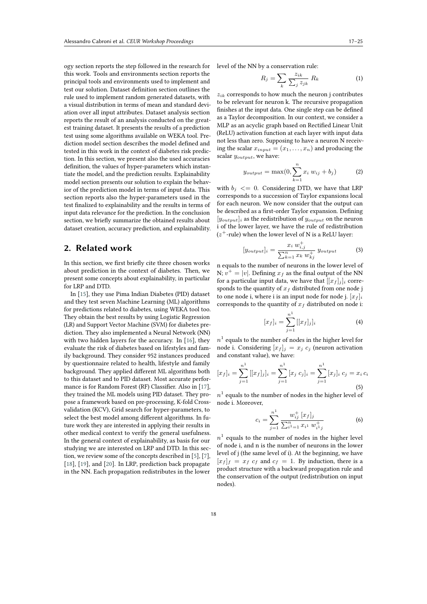ogy section reports the step followed in the research for this work. Tools and environments section reports the principal tools and environments used to implement and test our solution. Dataset definition section outlines the rule used to implement random generated datasets, with a visual distribution in terms of mean and standard deviation over all input attributes. Dataset analysis section reports the result of an analysis conducted on the greatest training dataset. It presents the results of a prediction test using some algorithms available on WEKA tool. Prediction model section describes the model defined and tested in this work in the context of diabetes risk prediction. In this section, we present also the used accuracies definition, the values of hyper-parameters which instantiate the model, and the prediction results. Explainability model section presents our solution to explain the behavior of the prediction model in terms of input data. This section reports also the hyper-parameters used in the test finalized to explainability and the results in terms of input data relevance for the prediction. In the conclusion section, we briefly summarize the obtained results about dataset creation, accuracy prediction, and explainability.

# **2. Related work**

In this section, we first briefly cite three chosen works about prediction in the context of diabetes. Then, we present some concepts about explainability, in particular for LRP and DTD.

In [\[15\]](#page-7-0), they use Pima Indian Diabetes (PID) dataset and they test seven Machine Learning (ML) algorithms for predictions related to diabetes, using WEKA tool too. They obtain the best results by using Logistic Regression (LR) and Support Vector Machine (SVM) for diabetes prediction. They also implemented a Neural Network (NN) with two hidden layers for the accuracy. In [\[16\]](#page-7-1), they evaluate the risk of diabetes based on lifestyles and family background. They consider 952 instances produced by questionnaire related to health, lifestyle and family background. They applied different ML algorithms both to this dataset and to PID dataset. Most accurate performance is for Random Forest (RF) Classifier. Also in [\[17\]](#page-7-2), they trained the ML models using PID dataset. They propose a framework based on pre-processing, K-fold Crossvalidation (KCV), Grid search for hyper-parameters, to select the best model among different algorithms. In future work they are interested in applying their results in other medical context to verify the general usefulness. In the general context of explainability, as basis for our studying we are interested on LRP and DTD. In this section, we review some of the concepts described in [\[5\]](#page-7-3), [\[7\]](#page-7-4), [\[18\]](#page-8-0), [\[19\]](#page-8-1), and [\[20\]](#page-8-2). In LRP, prediction back propagate in the NN. Each propagation redistributes in the lower

level of the NN by a conservation rule:

$$
R_j = \sum_k \frac{z_{ik}}{\sum_j z_{jk}} R_k \tag{1}
$$

 $z_{ik}$  corresponds to how much the neuron j contributes to be relevant for neuron k. The recursive propagation finishes at the input data. One single step can be defined as a Taylor decomposition. In our context, we consider a MLP as an acyclic graph based on Rectified Linear Unit (ReLU) activation function at each layer with input data not less than zero. Supposing to have a neuron N receiving the scalar  $x_{input} = (x_1, \ldots, x_n)$  and producing the scalar  $y_{output}$ , we have:

$$
y_{output} = \max(0, \sum_{k=1}^{n} x_i w_{ij} + b_j)
$$
 (2)

with  $b_j \leq 0$ . Considering DTD, we have that LRP corresponds to a succession of Taylor expansions local for each neuron. We now consider that the output can be described as a first-order Taylor expansion. Defining  $[y_{output}]$  as the redistribution of  $y_{output}$  on the neuron i of the lower layer, we have the rule of redistribution  $(z^{+}$ -rule) when the lower level of N is a ReLU layer:

$$
[y_{output}]_i = \frac{x_i w_{i,j}^+}{\sum_{k=1}^n x_k w_{kj}^+} y_{output}
$$
 (3)

n equals to the number of neurons in the lower level of N;  $v^+ = |v|$ . Defining  $x_f$  as the final output of the NN for a particular input data, we have that  $[[x_f]_i]_i$  corresponds to the quantity of  $x_f$  distributed from one node j to one node i, where i is an input node for node j.  $[x_f]_i$ corresponds to the quantity of  $x_f$  distributed on node i:

$$
[x_f]_i = \sum_{j=1}^{n^1} [[x_f]_j]_i
$$
 (4)

 $n^1$  equals to the number of nodes in the higher level for node i. Considering  $[x_f]_j = x_j c_j$  (neuron activation and constant value), we have:

$$
[x_f]_i = \sum_{j=1}^{n^1} [[x_f]_j]_i = \sum_{j=1}^{n^1} [x_j \ c_j]_i = \sum_{j=1}^{n^1} [x_j]_i \ c_j = x_i \ c_i
$$
\n(5)

 $n^1$  equals to the number of nodes in the higher level of node i. Moreover,

$$
c_i = \sum_{j=1}^{n^1} \frac{w_{ij}^+ [x_f]_j}{\sum_{i=1}^n x_{i^1} w_{i^1 j}^+}
$$
(6)

 $n^1$  equals to the number of nodes in the higher level of node i, and n is the number of neurons in the lower level of j (the same level of i). At the beginning, we have  $[x_f]_f = x_f c_f$  and  $c_f = 1$ . By induction, there is a product structure with a backward propagation rule and the conservation of the output (redistribution on input nodes).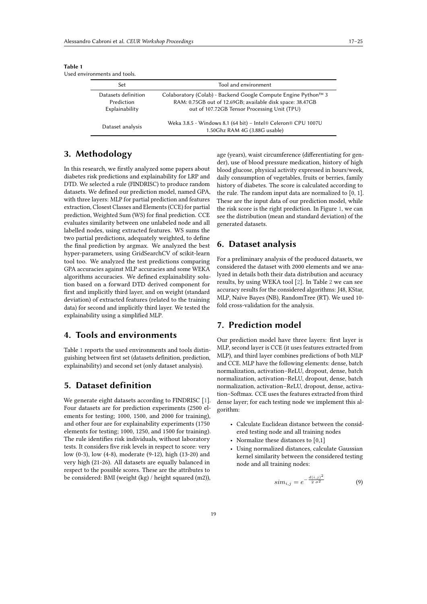| a chvilomnomis and tools.    |                                                                                                           |
|------------------------------|-----------------------------------------------------------------------------------------------------------|
| Set                          | Tool and environment                                                                                      |
| Datasets definition          | Colaboratory (Colab) - Backend Google Compute Engine Python™ 3                                            |
| Prediction<br>Explainability | RAM: 0.75GB out of 12.69GB; available disk space: 38.47GB<br>out of 107.72GB Tensor Processing Unit (TPU) |
| Dataset analysis             | Weka 3.8.5 - Windows 8.1 (64 bit) - Intel® Celeron® CPU 1007U<br>1.50Ghz RAM 4G (3.88G usable)            |

<span id="page-2-0"></span>**Table 1** Used environments and tools.

# **3. Methodology**

In this research, we firstly analyzed some papers about diabetes risk predictions and explainability for LRP and DTD. We selected a rule (FINDRISC) to produce random datasets. We defined our prediction model, named GPA, with three layers: MLP for partial prediction and features extraction, Closest Classes and Elements (CCE) for partial prediction, Weighted Sum (WS) for final prediction. CCE evaluates similarity between one unlabeled node and all labelled nodes, using extracted features. WS sums the two partial predictions, adequately weighted, to define the final prediction by argmax. We analyzed the best hyper-parameters, using GridSearchCV of scikit-learn tool too. We analyzed the test predictions comparing GPA accuracies against MLP accuracies and some WEKA algorithms accuracies. We defined explainability solution based on a forward DTD derived component for first and implicitly third layer, and on weight (standard deviation) of extracted features (related to the training data) for second and implicitly third layer. We tested the explainability using a simplified MLP.

### **4. Tools and environments**

Table [1](#page-2-0) reports the used environments and tools distinguishing between first set (datasets definition, prediction, explainability) and second set (only dataset analysis).

# **5. Dataset definition**

We generate eight datasets according to FINDRISC [\[1\]](#page-7-5). Four datasets are for prediction experiments (2500 elements for testing; 1000, 1500, and 2000 for training), and other four are for explainability experiments (1750 elements for testing; 1000, 1250, and 1500 for training). The rule identifies risk individuals, without laboratory tests. It considers five risk levels in respect to score: very low (0-3), low (4-8), moderate (9-12), high (13-20) and very high (21-26). All datasets are equally balanced in respect to the possible scores. These are the attributes to be considered: BMI (weight (kg) / height squared (m2)), age (years), waist circumference (differentiating for gender), use of blood pressure medication, history of high blood glucose, physical activity expressed in hours/week, daily consumption of vegetables, fruits or berries, family history of diabetes. The score is calculated according to the rule. The random input data are normalized to [0, 1]. These are the input data of our prediction model, while the risk score is the right prediction. In Figure [1,](#page-3-0) we can see the distribution (mean and standard deviation) of the generated datasets.

# **6. Dataset analysis**

For a preliminary analysis of the produced datasets, we considered the dataset with 2000 elements and we analyzed in details both their data distribution and accuracy results, by using WEKA tool [\[2\]](#page-7-6). In Table [2](#page-3-1) we can see accuracy results for the considered algorithms: J48, KStar, MLP, Naïve Bayes (NB), RandomTree (RT). We used 10 fold cross-validation for the analysis.

## **7. Prediction model**

Our prediction model have three layers: first layer is MLP, second layer is CCE (it uses features extracted from MLP), and third layer combines predictions of both MLP and CCE. MLP have the following elements: dense, batch normalization, activation–ReLU, dropout, dense, batch normalization, activation–ReLU, dropout, dense, batch normalization, activation–ReLU, dropout, dense, activation–Softmax. CCE uses the features extracted from third dense layer; for each testing node we implement this algorithm:

- Calculate Euclidean distance between the considered testing node and all training nodes
- Normalize these distances to [0,1]
- Using normalized distances, calculate Gaussian kernel similarity between the considered testing node and all training nodes:

$$
sim_{i,j} = e^{-\frac{d(i,j)^2}{2\sigma^2}}
$$
 (9)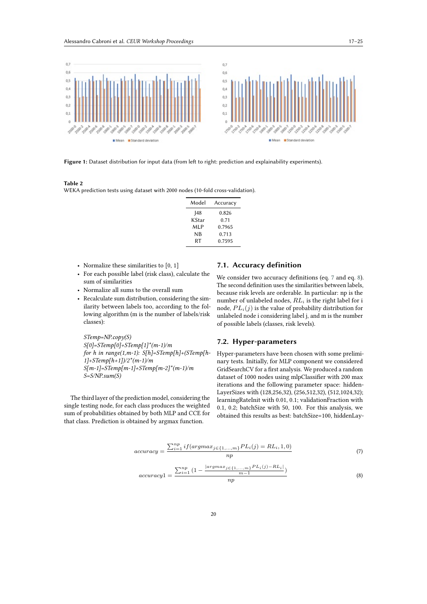

**Figure 1:** Dataset distribution for input data (from left to right: prediction and explainability experiments).

### <span id="page-3-1"></span>**Table 2**

WEKA prediction tests using dataset with 2000 nodes (10-fold cross-validation).

<span id="page-3-0"></span>

| Model | Accuracy |
|-------|----------|
| 48    | 0.826    |
| KStar | 0.71     |
| MLP   | 0.7965   |
| ΝB    | 0.713    |
| RT    | 0.7595   |

- Normalize these similarities to [0, 1]
- For each possible label (risk class), calculate the sum of similarities
- Normalize all sums to the overall sum
- Recalculate sum distribution, considering the similarity between labels too, according to the following algorithm (m is the number of labels/risk classes):

*STemp=NP.copy(S) S[0]=STemp[0]+STemp[1]\*(m-1)/m for h in range(1,m-1): S[h]=STemp[h]+(STemp[h-1]+STemp[h+1])/2\*(m-1)/m S[m-1]=STemp[m-1]+STemp[m-2]\*(m-1)/m S=S/NP.sum(S)*

The third layer of the prediction model, considering the single testing node, for each class produces the weighted sum of probabilities obtained by both MLP and CCE for that class. Prediction is obtained by argmax function.

### **7.1. Accuracy definition**

We consider two accuracy definitions (eq. [7](#page-3-2) and eq. [8\)](#page-3-3). The second definition uses the similarities between labels, because risk levels are orderable. In particular: np is the number of unlabeled nodes,  $RL_i$  is the right label for i node,  $PL_i(j)$  is the value of probability distribution for unlabeled node i considering label j, and m is the number of possible labels (classes, risk levels).

### **7.2. Hyper-parameters**

Hyper-parameters have been chosen with some preliminary tests. Initially, for MLP component we considered GridSearchCV for a first analysis. We produced a random dataset of 1000 nodes using mlpClassifier with 200 max iterations and the following parameter space: hidden-LayerSizes with (128,256,32), (256,512,32), (512,1024,32); learningRateInit with 0.01, 0.1; validationFraction with 0.1, 0.2; batchSize with 50, 100. For this analysis, we obtained this results as best: batchSize=100, hiddenLay-

<span id="page-3-2"></span>
$$
accuracy = \frac{\sum_{i=1}^{np} if(argmax_{j \in \{1, ..., m\}} PL_i(j) = RL_i, 1, 0)}{np}
$$
\n
$$
(7)
$$

<span id="page-3-3"></span>
$$
accuracy1 = \frac{\sum_{i=1}^{np} (1 - \frac{|argmax_{j \in \{1, ..., m\}} PL_i(j) - RL_i|}{m-1})}{np}
$$
\n(8)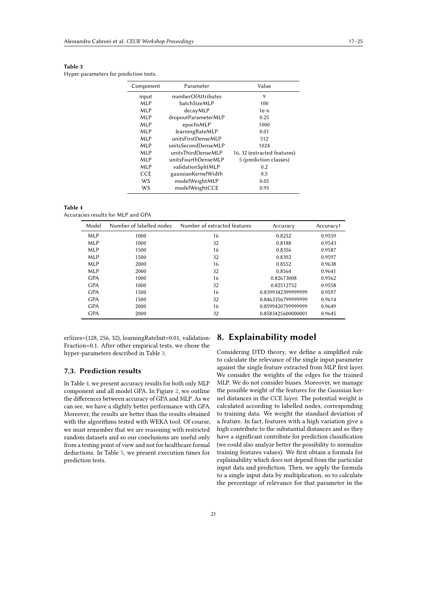### <span id="page-4-0"></span>**Table 3**

Hyper-parameters for prediction tests.

| Component  | Parameter           | Value                       |
|------------|---------------------|-----------------------------|
| input      | numberOfAttributes  | 9                           |
| <b>MLP</b> | batchSizeMLP        | 100                         |
| <b>MLP</b> | decayMLP            | $1e-6$                      |
| <b>MLP</b> | dropoutParameterMLP | 0.25                        |
| <b>MLP</b> | epochsMLP           | 1000                        |
| <b>MLP</b> | learningRateMLP     | 0.01                        |
| <b>MLP</b> | unitsFirstDenseMLP  | 512                         |
| <b>MLP</b> | unitsSecondDenseMLP | 1024                        |
| <b>MLP</b> | unitsThirdDenseMLP  | 16, 32 (extracted features) |
| <b>MLP</b> | unitsFourthDenseMLP | 5 (prediction classes)      |
| <b>MLP</b> | validationSplitMLP  | 0.2                         |
| CCE        | gaussianKernelWidth | 0.5                         |
| WS         | modelWeightMLP      | 0.05                        |
| WS         | modelWeightCCE      | 0.95                        |
|            |                     |                             |

<span id="page-4-1"></span>

| anı<br>ı |  |
|----------|--|
|----------|--|

Accuracies results for MLP and GPA

| Model      | Number of labelled nodes | Number of extracted features | Accuracy           | Accuracy1 |
|------------|--------------------------|------------------------------|--------------------|-----------|
| <b>MLP</b> | 1000                     | 16                           | 0.8252             | 0.9559    |
| <b>MLP</b> | 1000                     | 32                           | 0.8188             | 0.9543    |
| <b>MLP</b> | 1500                     | 16                           | 0.8356             | 0.9587    |
| <b>MLP</b> | 1500                     | 32                           | 0.8392             | 0.9597    |
| <b>MLP</b> | 2000                     | 16                           | 0.8552             | 0.9638    |
| <b>MLP</b> | 2000                     | 32                           | 0.8564             | 0.9641    |
| <b>GPA</b> | 1000                     | 16                           | 0.82673008         | 0.9562    |
| <b>GPA</b> | 1000                     | 32                           | 0.82512752         | 0.9558    |
| <b>GPA</b> | 1500                     | 16                           | 0.8399342399999999 | 0.9597    |
| <b>GPA</b> | 1500                     | 32                           | 0.8463356799999999 | 0.9614    |
| <b>GPA</b> | 2000                     | 16                           | 0.8599420799999999 | 0.9649    |
| <b>GPA</b> | 2000                     | 32                           | 0.8583425600000001 | 0.9645    |

erSizes=(128, 256, 32), learningRateInit=0.01, validation-Fraction=0.1. After other empirical tests, we chose the hyper-parameters described in Table [3.](#page-4-0)

### **7.3. Prediction results**

In Table [4,](#page-4-1) we present accuracy results for both only MLP component and all model GPA. In Figure [2,](#page-5-0) we outline the differences between accuracy of GPA and MLP. As we can see, we have a slightly better performance with GPA. Moreover, the results are better than the results obtained with the algorithms tested with WEKA tool. Of course, we must remember that we are reasoning with restricted random datasets and so our conclusions are useful only from a testing point of view and not for healthcare formal deductions. In Table [5,](#page-5-1) we present execution times for prediction tests.

### **8. Explainability model**

Considering DTD theory, we define a simplified rule to calculate the relevance of the single input parameter against the single feature extracted from MLP first layer. We consider the weights of the edges for the trained MLP. We do not consider biases. Moreover, we manage the possible weight of the features for the Gaussian kernel distances in the CCE layer. The potential weight is calculated according to labelled nodes, corresponding to training data. We weight the standard deviation of a feature. In fact, features with a high variation give a high contribute to the substantial distances and so they have a significant contribute for prediction classification (we could also analyze better the possibility to normalize training features values). We first obtain a formula for explainability which does not depend from the particular input data and prediction. Then, we apply the formula to a single input data by multiplication, so to calculate the percentage of relevance for that parameter in the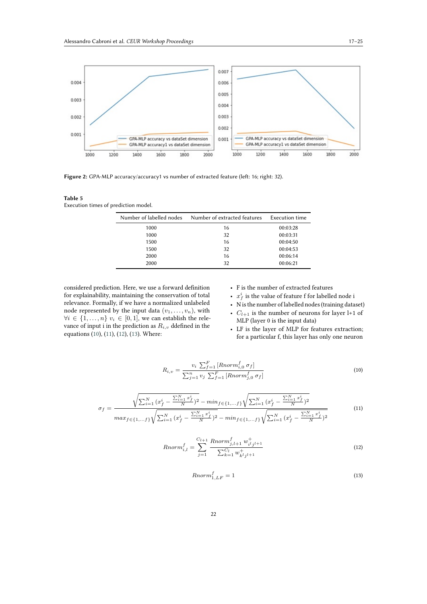

Figure 2: GPA-MLP accuracy/accuracy1 vs number of extracted feature (left: 16; right: 32).

#### <span id="page-5-1"></span>**Table 5**

Execution times of prediction model.

<span id="page-5-0"></span>

| Number of labelled nodes | Number of extracted features | Execution time |
|--------------------------|------------------------------|----------------|
| 1000                     | 16                           | 00:03:28       |
| 1000                     | 32                           | 00:03:31       |
| 1500                     | 16                           | 00:04:50       |
| 1500                     | 32                           | 00:04:53       |
| 2000                     | 16                           | 00:06:14       |
| 2000                     | 32                           | 00:06:21       |

considered prediction. Here, we use a forward definition for explainability, maintaining the conservation of total relevance. Formally, if we have a normalized unlabeled node represented by the input data  $(v_1, \ldots, v_n)$ , with  $\forall i \in \{1, ..., n\}$   $v_i \in [0, 1]$ , we can establish the relevance of input i in the prediction as  $R_{i,v}$  ddefined in the equations [\(10\)](#page-5-2), [\(11\)](#page-5-3), [\(12\)](#page-5-4), [\(13\)](#page-5-5). Where:

- F is the number of extracted features
- $x_f^i$  is the value of feature f for labelled node i
- N is the number of labelled nodes (training dataset)
- $C_{l+1}$  is the number of neurons for layer l+1 of MLP (layer 0 is the input data)
- LF is the layer of MLP for features extraction; for a particular f, this layer has only one neuron

<span id="page-5-2"></span>
$$
R_{i,v} = \frac{v_i \sum_{f=1}^{F} \left[Rnorm_{i,0}^f \sigma_f\right]}{\sum_{j=1}^{n} v_j \sum_{f=1}^{F} \left[Rnorm_{j,0}^f \sigma_f\right]}
$$
\n
$$
(10)
$$

<span id="page-5-3"></span>
$$
\sigma_f = \frac{\sqrt{\sum_{i=1}^{N} (x_f^i - \frac{\sum_{i=1}^{N} x_f^i}{N})^2} - \min_{f \in \{1, \dots, f\}} \sqrt{\sum_{i=1}^{N} (x_f^i - \frac{\sum_{i=1}^{N} x_f^i}{N})^2}}{\max_{f \in \{1, \dots, f\}} \sqrt{\sum_{i=1}^{N} (x_f^i - \frac{\sum_{i=1}^{N} x_f^i}{N})^2} - \min_{f \in \{1, \dots, f\}} \sqrt{\sum_{i=1}^{N} (x_f^i - \frac{\sum_{i=1}^{N} x_f^i}{N})^2}}
$$
(11)

<span id="page-5-4"></span>
$$
Rnorm_{i,l}^{f} = \sum_{j=1}^{C_{l+1}} \frac{Rnorm_{j,l+1}^{f} w_{i,j+l+1}^{+}}{\sum_{k=1}^{C_{l}} w_{k}^{+} j_{j+1}}
$$
(12)

<span id="page-5-5"></span>
$$
Rnorm_{1,LF}^{f} = 1
$$
\n(13)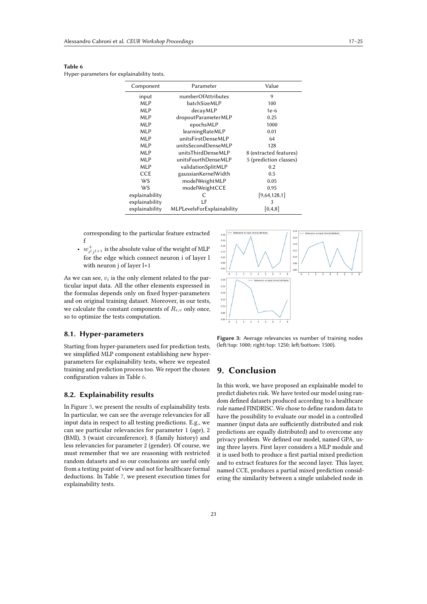<span id="page-6-0"></span>

| п<br>٠ | ш |
|--------|---|
|--------|---|

Hyper-parameters for explainability tests.

| Component      | Parameter                  | Value                  |
|----------------|----------------------------|------------------------|
| input          | numberOfAttributes         | 9                      |
| MLP            | batchSizeMLP               | 100                    |
| MLP            | decayMLP                   | $1e-6$                 |
| MLP            | dropoutParameterMLP        | 0.25                   |
| MLP            | epochsMLP                  | 1000                   |
| MLP            | learningRateMLP            | 0.01                   |
| MLP            | unitsFirstDenseMLP         | 64                     |
| MLP            | unitsSecondDenseMLP        | 128                    |
| MLP            | unitsThirdDenseMLP         | 8 (extracted features) |
| MLP            | unitsFourthDenseMLP        | 5 (prediction classes) |
| MLP            | validationSplitMLP         | 0.2                    |
| <b>CCE</b>     | gaussianKernelWidth        | 0.5                    |
| WS             | modelWeightMLP             | 0.05                   |
| WS             | modelWeightCCE             | 0.95                   |
| explainability | C                          | [9,64,128,1]           |
| explainability | LF                         | 3                      |
| explainability | MLPLevelsForExplainability | [0,4,8]                |

corresponding to the particular feature extracted f

-  $w_{i^l j^{l+1}}^+$  is the absolute value of the weight of MLP for the edge which connect neuron i of layer l with neuron j of layer l+1

As we can see,  $v_i$  is the only element related to the particular input data. All the other elements expressed in the formulas depends only on fixed hyper-parameters and on original training dataset. Moreover, in our tests, we calculate the constant components of  $R_{i,v}$  only once, so to optimize the tests computation.

### **8.1. Hyper-parameters**

Starting from hyper-parameters used for prediction tests, we simplified MLP component establishing new hyperparameters for explainability tests, where we repeated training and prediction process too. We report the chosen configuration values in Table [6.](#page-6-0)

### **8.2. Explainability results**

In Figure [3,](#page-6-1) we present the results of explainability tests. In particular, we can see the average relevancies for all input data in respect to all testing predictions. E.g., we can see particular relevancies for parameter 1 (age), 2 (BMI), 3 (waist circumference), 8 (family history) and less relevancies for parameter 2 (gender). Of course, we must remember that we are reasoning with restricted random datasets and so our conclusions are useful only from a testing point of view and not for healthcare formal deductions. In Table [7,](#page-7-7) we present execution times for explainability tests.



<span id="page-6-1"></span>**Figure 3:** Average relevancies vs number of training nodes (left/top: 1000; right/top: 1250; left/bottom: 1500).

# **9. Conclusion**

In this work, we have proposed an explainable model to predict diabetes risk. We have tested our model using random defined datasets produced according to a healthcare rule named FINDRISC. We chose to define random data to have the possibility to evaluate our model in a controlled manner (input data are sufficiently distributed and risk predictions are equally distributed) and to overcome any privacy problem. We defined our model, named GPA, using three layers. First layer considers a MLP module and it is used both to produce a first partial mixed prediction and to extract features for the second layer. This layer, named CCE, produces a partial mixed prediction considering the similarity between a single unlabeled node in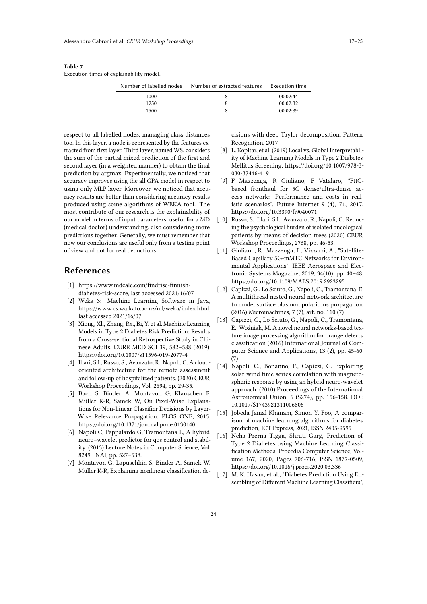<span id="page-7-7"></span>

| ×<br>٠ |  |  |
|--------|--|--|
|        |  |  |

Execution times of explainability model.

| Number of labelled nodes | Number of extracted features | Execution time |
|--------------------------|------------------------------|----------------|
| 1000                     |                              | 00:02:44       |
| 1250                     |                              | 00:02:32       |
| 1500                     |                              | 00:02:39       |

respect to all labelled nodes, managing class distances too. In this layer, a node is represented by the features extracted from first layer. Third layer, named WS, considers the sum of the partial mixed prediction of the first and second layer (in a weighted manner) to obtain the final prediction by argmax. Experimentally, we noticed that accuracy improves using the all GPA model in respect to using only MLP layer. Moreover, we noticed that accuracy results are better than considering accuracy results produced using some algorithms of WEKA tool. The most contribute of our research is the explainability of our model in terms of input parameters, useful for a MD (medical doctor) understanding, also considering more predictions together. Generally, we must remember that now our conclusions are useful only from a testing point of view and not for real deductions.

# **References**

- <span id="page-7-5"></span>[1] https://www.mdcalc.com/findrisc-finnishdiabetes-risk-score, last accessed 2021/16/07
- <span id="page-7-6"></span>[2] Weka 3: Machine Learning Software in Java, https://www.cs.waikato.ac.nz/ml/weka/index.html, last accessed 2021/16/07
- [3] Xiong, Xl., Zhang, Rx., Bi, Y. et al. Machine Learning Models in Type 2 Diabetes Risk Prediction: Results from a Cross-sectional Retrospective Study in Chinese Adults. CURR MED SCI 39, 582–588 (2019). https://doi.org/10.1007/s11596-019-2077-4
- [4] Illari, S.I., Russo, S., Avanzato, R., Napoli, C. A cloudoriented architecture for the remote assessment and follow-up of hospitalized patients. (2020) CEUR Workshop Proceedings, Vol. 2694, pp. 29-35.
- <span id="page-7-3"></span>[5] Bach S, Binder A, Montavon G, Klauschen F, Müller K-R, Samek W, On Pixel-Wise Explanations for Non-Linear Classifier Decisions by Layer-Wise Relevance Propagation, PLOS ONE, 2015, https://doi.org/10.1371/journal.pone.0130140
- [6] Napoli C, Pappalardo G, Tramontana E, A hybrid neuro–wavelet predictor for qos control and stability. (2013) Lecture Notes in Computer Science, Vol. 8249 LNAI, pp. 527–538.
- <span id="page-7-4"></span>[7] Montavon G, Lapuschkin S, Binder A, Samek W, Müller K-R, Explaining nonlinear classification de-

cisions with deep Taylor decomposition, Pattern Recognition, 2017

- [8] L. Kopitar, et al. (2019) Local vs. Global Interpretability of Machine Learning Models in Type 2 Diabetes Mellitus Screening. https://doi.org/10.1007/978-3- 030-37446-4\_9
- [9] F Mazzenga, R Giuliano, F Vatalaro, "FttCbased fronthaul for 5G dense/ultra-dense access network: Performance and costs in realistic scenarios", Future Internet 9 (4), 71, 2017, https://doi.org/10.3390/fi9040071
- [10] Russo, S., Illari, S.I., Avanzato, R., Napoli, C. Reducing the psychological burden of isolated oncological patients by means of decision trees (2020) CEUR Workshop Proceedings, 2768, pp. 46-53.
- [11] Giuliano, R., Mazzenga, F., Vizzarri, A., "Satellite-Based Capillary 5G-mMTC Networks for Environmental Applications", IEEE Aerospace and Electronic Systems Magazine, 2019, 34(10), pp. 40–48, https://doi.org/10.1109/MAES.2019.2923295
- [12] Capizzi, G., Lo Sciuto, G., Napoli, C., Tramontana, E. A multithread nested neural network architecture to model surface plasmon polaritons propagation (2016) Micromachines, 7 (7), art. no. 110 (7)
- [13] Capizzi, G., Lo Sciuto, G., Napoli, C., Tramontana, E., Woźniak, M. A novel neural networks-based texture image processing algorithm for orange defects classification (2016) International Journal of Computer Science and Applications, 13 (2), pp. 45-60. (7)
- [14] Napoli, C., Bonanno, F., Capizzi, G. Exploiting solar wind time series correlation with magnetospheric response by using an hybrid neuro-wavelet approach. (2010) Proceedings of the International Astronomical Union, 6 (S274), pp. 156-158. DOI: 10.1017/S1743921311006806
- <span id="page-7-0"></span>[15] Jobeda Jamal Khanam, Simon Y. Foo, A comparison of machine learning algorithms for diabetes prediction, ICT Express, 2021, ISSN 2405-9595
- <span id="page-7-1"></span>[16] Neha Prerna Tigga, Shruti Garg, Prediction of Type 2 Diabetes using Machine Learning Classification Methods, Procedia Computer Science, Volume 167, 2020, Pages 706-716, ISSN 1877-0509, https://doi.org/10.1016/j.procs.2020.03.336
- <span id="page-7-2"></span>[17] M. K. Hasan, et al., "Diabetes Prediction Using Ensembling of Different Machine Learning Classifiers",